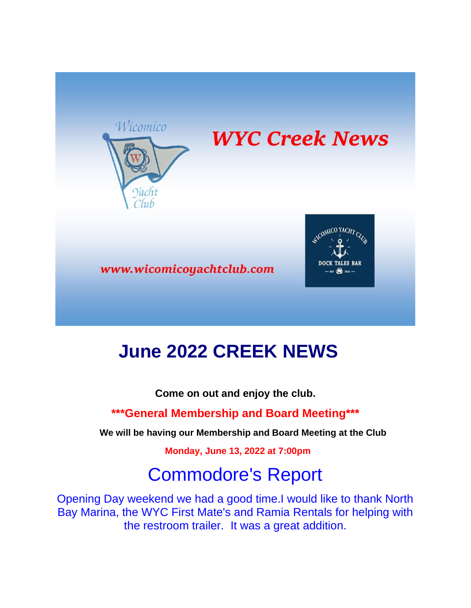

# **WYC Creek News**





# **June 2022 CREEK NEWS**

**Come on out and enjoy the club.**

**\*\*\*General Membership and Board Meeting\*\*\***

**We will be having our Membership and Board Meeting at the Club**

**Monday, June 13, 2022 at 7:00pm**

# Commodore's Report

Opening Day weekend we had a good time.I would like to thank North Bay Marina, the WYC First Mate's and Ramia Rentals for helping with the restroom trailer. It was a great addition.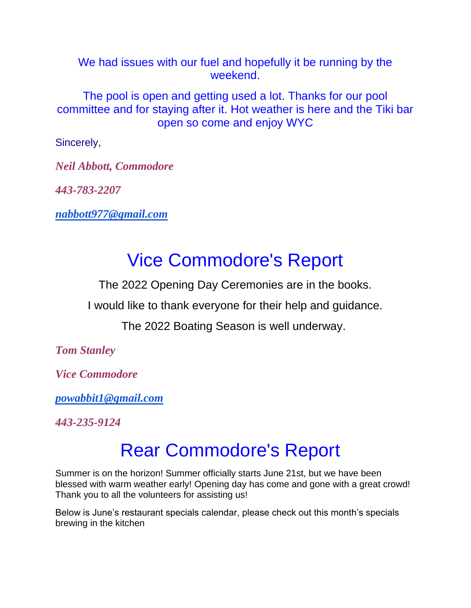We had issues with our fuel and hopefully it be running by the weekend.

The pool is open and getting used a lot. Thanks for our pool committee and for staying after it. Hot weather is here and the Tiki bar open so come and enjoy WYC

Sincerely,

*Neil Abbott, Commodore*

*443-783-2207*

*[nabbott977@gmail.com](mailto:nabbott977@gmail.com)*

# Vice Commodore's Report

The 2022 Opening Day Ceremonies are in the books.

I would like to thank everyone for their help and guidance.

The 2022 Boating Season is well underway.

*Tom Stanley*

*Vice Commodore*

*[powabbit1@gmail.com](mailto:powabbit1@gmail.com)*

*443-235-9124*

# Rear Commodore's Report

Summer is on the horizon! Summer officially starts June 21st, but we have been blessed with warm weather early! Opening day has come and gone with a great crowd! Thank you to all the volunteers for assisting us!

Below is June's restaurant specials calendar, please check out this month's specials brewing in the kitchen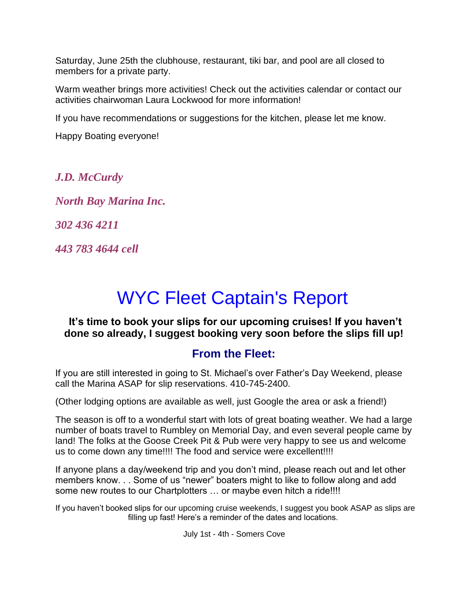Saturday, June 25th the clubhouse, restaurant, tiki bar, and pool are all closed to members for a private party.

Warm weather brings more activities! Check out the activities calendar or contact our activities chairwoman Laura Lockwood for more information!

If you have recommendations or suggestions for the kitchen, please let me know.

Happy Boating everyone!

*J.D. McCurdy*

*North Bay Marina Inc.*

*302 436 4211*

*443 783 4644 cell*

# WYC Fleet Captain's Report

#### **It's time to book your slips for our upcoming cruises! If you haven't done so already, I suggest booking very soon before the slips fill up!**

### **From the Fleet:**

If you are still interested in going to St. Michael's over Father's Day Weekend, please call the Marina ASAP for slip reservations. 410-745-2400.

(Other lodging options are available as well, just Google the area or ask a friend!)

The season is off to a wonderful start with lots of great boating weather. We had a large number of boats travel to Rumbley on Memorial Day, and even several people came by land! The folks at the Goose Creek Pit & Pub were very happy to see us and welcome us to come down any time!!!! The food and service were excellent!!!!

If anyone plans a day/weekend trip and you don't mind, please reach out and let other members know. . . Some of us "newer" boaters might to like to follow along and add some new routes to our Chartplotters ... or maybe even hitch a ride!!!!

If you haven't booked slips for our upcoming cruise weekends, I suggest you book ASAP as slips are filling up fast! Here's a reminder of the dates and locations.

July 1st - 4th - Somers Cove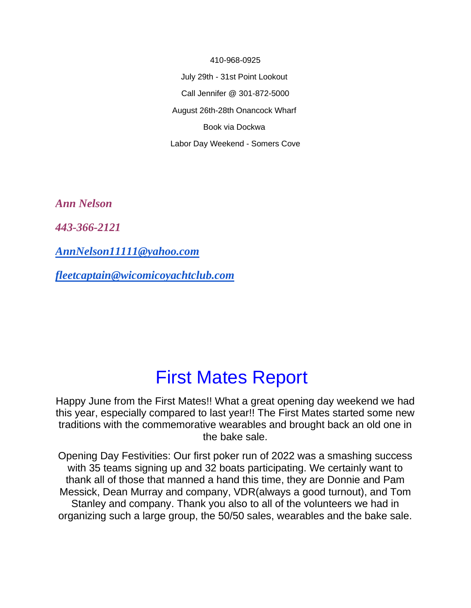410-968-0925

July 29th - 31st Point Lookout Call Jennifer @ 301-872-5000 August 26th-28th Onancock Wharf Book via Dockwa Labor Day Weekend - Somers Cove

*Ann Nelson*

*443-366-2121*

*[AnnNelson11111@yahoo.com](mailto:AnnNelson11111@yahoo.com)*

*[fleetcaptain@wicomicoyachtclub.com](mailto:fleetcaptain@wicomicoyachtclub.com)*

## First Mates Report

Happy June from the First Mates!! What a great opening day weekend we had this year, especially compared to last year!! The First Mates started some new traditions with the commemorative wearables and brought back an old one in the bake sale.

Opening Day Festivities: Our first poker run of 2022 was a smashing success with 35 teams signing up and 32 boats participating. We certainly want to thank all of those that manned a hand this time, they are Donnie and Pam Messick, Dean Murray and company, VDR(always a good turnout), and Tom Stanley and company. Thank you also to all of the volunteers we had in organizing such a large group, the 50/50 sales, wearables and the bake sale.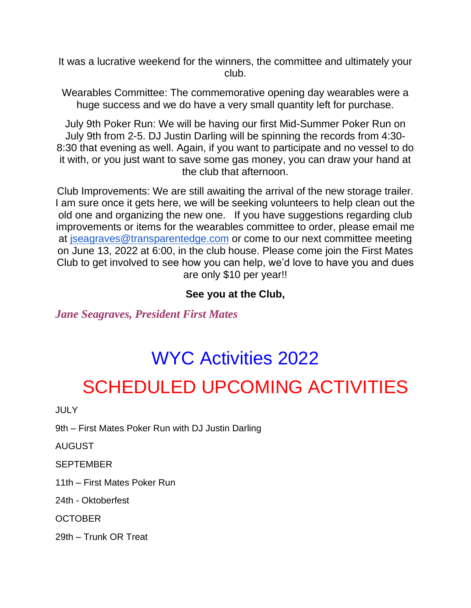It was a lucrative weekend for the winners, the committee and ultimately your club.

Wearables Committee: The commemorative opening day wearables were a huge success and we do have a very small quantity left for purchase.

July 9th Poker Run: We will be having our first Mid-Summer Poker Run on July 9th from 2-5. DJ Justin Darling will be spinning the records from 4:30- 8:30 that evening as well. Again, if you want to participate and no vessel to do it with, or you just want to save some gas money, you can draw your hand at the club that afternoon.

Club Improvements: We are still awaiting the arrival of the new storage trailer. I am sure once it gets here, we will be seeking volunteers to help clean out the old one and organizing the new one. If you have suggestions regarding club improvements or items for the wearables committee to order, please email me at [jseagraves@transparentedge.com](mailto:jseagraves@transparentedge.com) or come to our next committee meeting on June 13, 2022 at 6:00, in the club house. Please come join the First Mates Club to get involved to see how you can help, we'd love to have you and dues are only \$10 per year!!

### **See you at the Club,**

*Jane Seagraves, President First Mates*

# WYC Activities 2022

# SCHEDULED UPCOMING ACTIVITIES

JULY

9th – First Mates Poker Run with DJ Justin Darling

AUGUST

**SEPTEMBER** 

11th – First Mates Poker Run

24th - Oktoberfest

**OCTOBER** 

29th – Trunk OR Treat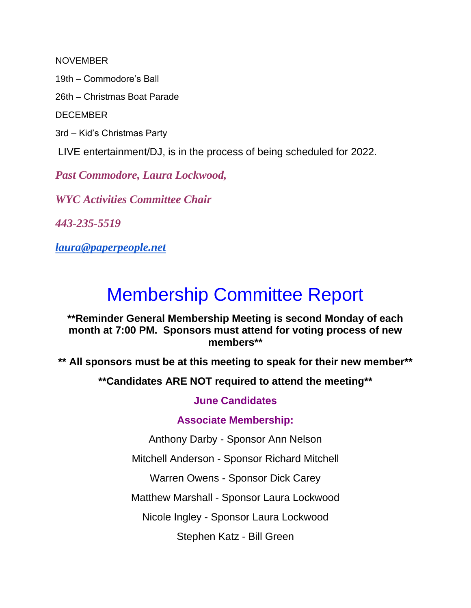NOVEMBER

19th – Commodore's Ball

26th – Christmas Boat Parade

**DECEMBER** 

3rd – Kid's Christmas Party

LIVE entertainment/DJ, is in the process of being scheduled for 2022.

*Past Commodore, Laura Lockwood,*

*WYC Activities Committee Chair*

*443-235-5519*

*[laura@paperpeople.net](mailto:laura@paperpeople.net)*

# Membership Committee Report

**\*\*Reminder General Membership Meeting is second Monday of each month at 7:00 PM. Sponsors must attend for voting process of new members\*\***

**\*\* All sponsors must be at this meeting to speak for their new member\*\***

**\*\*Candidates ARE NOT required to attend the meeting\*\***

**June Candidates**

### **Associate Membership:**

Anthony Darby - Sponsor Ann Nelson

Mitchell Anderson - Sponsor Richard Mitchell

Warren Owens - Sponsor Dick Carey

Matthew Marshall - Sponsor Laura Lockwood

Nicole Ingley - Sponsor Laura Lockwood

Stephen Katz - Bill Green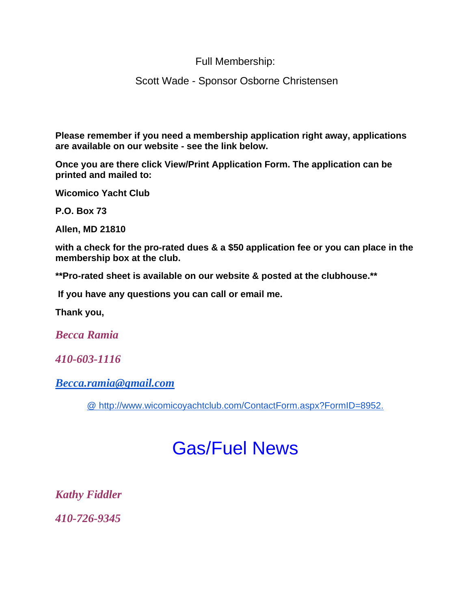Full Membership:

Scott Wade - Sponsor Osborne Christensen

**Please remember if you need a membership application right away, applications are available on our website - see the link below.**

**Once you are there click View/Print Application Form. The application can be printed and mailed to:**

**Wicomico Yacht Club**

**P.O. Box 73**

**Allen, MD 21810**

**with a check for the pro-rated dues & a \$50 application fee or you can place in the membership box at the club.**

**\*\*Pro-rated sheet is available on our website & posted at the clubhouse.\*\***

**If you have any questions you can call or email me.**

**Thank you,**

*Becca Ramia*

*410-603-1116*

*[Becca.ramia@gmail.com](mailto:Becca.ramia@gmail.com)* 

[@ http://www.wicomicoyachtclub.com/ContactForm.aspx?FormID=8952.](https://mail.google.com/mail/u/0/#m_7091831042918946954_bottom)

# Gas/Fuel News

*Kathy Fiddler*

*410-726-9345*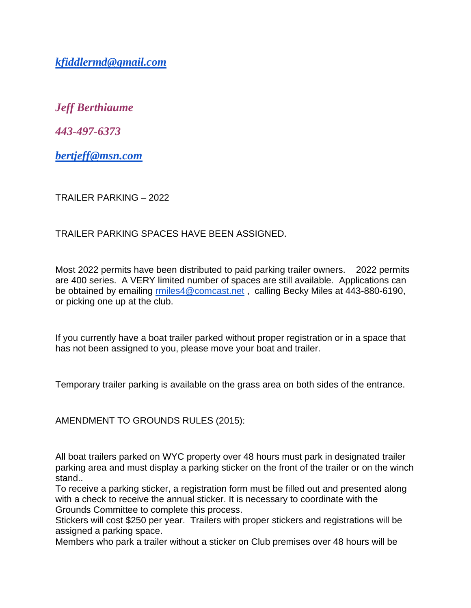*[kfiddlermd@gmail.com](mailto:kfiddlermd@gmail.com)*

*Jeff Berthiaume*

*443-497-6373* 

*[bertjeff@msn.com](mailto:bertjeff@msn.com)*

TRAILER PARKING – 2022

TRAILER PARKING SPACES HAVE BEEN ASSIGNED.

Most 2022 permits have been distributed to paid parking trailer owners. 2022 permits are 400 series. A VERY limited number of spaces are still available. Applications can be obtained by emailing [rmiles4@comcast.net](mailto:rmiles4@comcast.net), calling Becky Miles at 443-880-6190, or picking one up at the club.

If you currently have a boat trailer parked without proper registration or in a space that has not been assigned to you, please move your boat and trailer.

Temporary trailer parking is available on the grass area on both sides of the entrance.

AMENDMENT TO GROUNDS RULES (2015):

All boat trailers parked on WYC property over 48 hours must park in designated trailer parking area and must display a parking sticker on the front of the trailer or on the winch stand..

To receive a parking sticker, a registration form must be filled out and presented along with a check to receive the annual sticker. It is necessary to coordinate with the Grounds Committee to complete this process.

Stickers will cost \$250 per year. Trailers with proper stickers and registrations will be assigned a parking space.

Members who park a trailer without a sticker on Club premises over 48 hours will be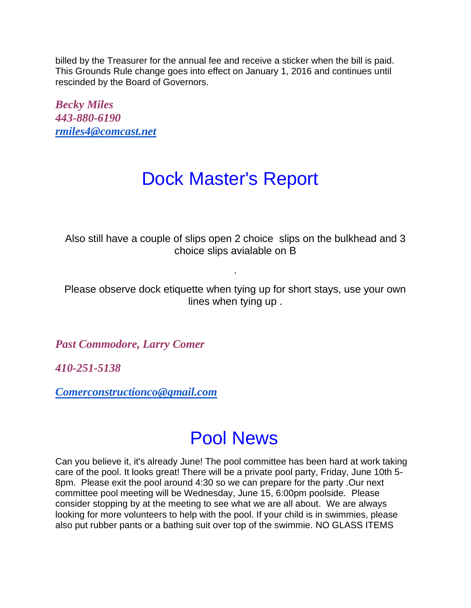billed by the Treasurer for the annual fee and receive a sticker when the bill is paid. This Grounds Rule change goes into effect on January 1, 2016 and continues until rescinded by the Board of Governors.

*Becky Miles 443-880-6190 [rmiles4@comcast.net](mailto:rmiles4@comcast.net)*

# Dock Master's Report

Also still have a couple of slips open 2 choice slips on the bulkhead and 3 choice slips avialable on B

Please observe dock etiquette when tying up for short stays, use your own lines when tying up .

.

*Past Commodore, Larry Comer*

*410-251-5138*

*[Comerconstructionco@gmail.com](mailto:Comerconstructionco@gmail.com)*

## Pool News

Can you believe it, it's already June! The pool committee has been hard at work taking care of the pool. It looks great! There will be a private pool party, Friday, June 10th 5- 8pm. Please exit the pool around 4:30 so we can prepare for the party .Our next committee pool meeting will be Wednesday, June 15, 6:00pm poolside. Please consider stopping by at the meeting to see what we are all about. We are always looking for more volunteers to help with the pool. If your child is in swimmies, please also put rubber pants or a bathing suit over top of the swimmie. NO GLASS ITEMS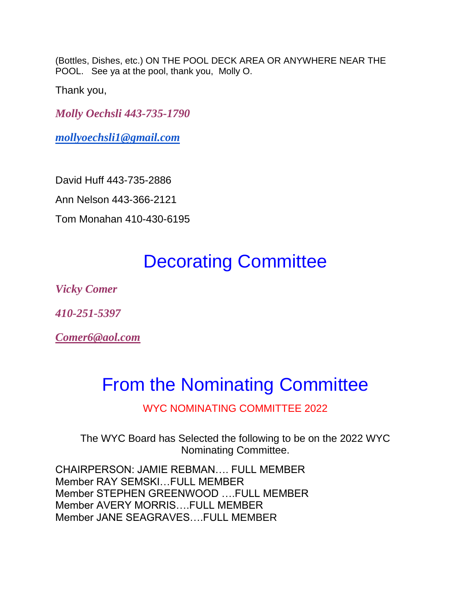(Bottles, Dishes, etc.) ON THE POOL DECK AREA OR ANYWHERE NEAR THE POOL. See ya at the pool, thank you, Molly O.

Thank you,

*Molly Oechsli 443-735-1790* 

*[mollyoechsli1@gmail.com](mailto:mollyoechsli1@gmail.com)*

David Huff 443-735-2886

Ann Nelson 443-366-2121

Tom Monahan 410-430-6195

## Decorating Committee

*Vicky Comer*

*410-251-5397*

*[Comer6@aol.com](https://mail.google.com/mail/u/0/#m_7091831042918946954_bottom)*

# From the Nominating Committee

### WYC NOMINATING COMMITTEE 2022

The WYC Board has Selected the following to be on the 2022 WYC Nominating Committee.

CHAIRPERSON: JAMIE REBMAN…. FULL MEMBER Member RAY SEMSKI…FULL MEMBER Member STEPHEN GREENWOOD ….FULL MEMBER Member AVERY MORRIS….FULL MEMBER Member JANE SEAGRAVES….FULL MEMBER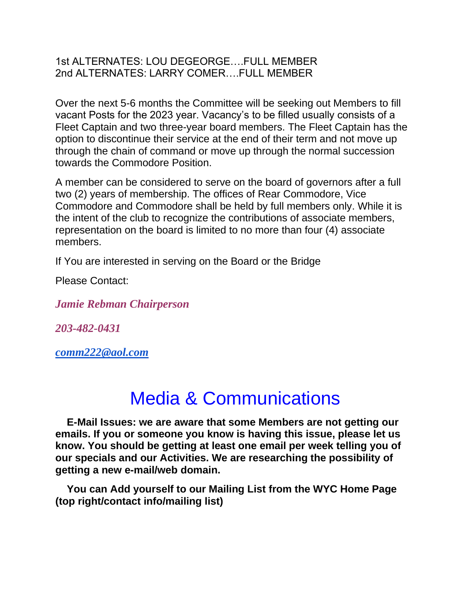### 1st ALTERNATES: LOU DEGEORGE….FULL MEMBER 2nd ALTERNATES: LARRY COMER….FULL MEMBER

Over the next 5-6 months the Committee will be seeking out Members to fill vacant Posts for the 2023 year. Vacancy's to be filled usually consists of a Fleet Captain and two three-year board members. The Fleet Captain has the option to discontinue their service at the end of their term and not move up through the chain of command or move up through the normal succession towards the Commodore Position.

A member can be considered to serve on the board of governors after a full two (2) years of membership. The offices of Rear Commodore, Vice Commodore and Commodore shall be held by full members only. While it is the intent of the club to recognize the contributions of associate members, representation on the board is limited to no more than four (4) associate members.

If You are interested in serving on the Board or the Bridge

Please Contact:

*Jamie Rebman Chairperson*

*203-482-0431*

*[comm222@aol.com](mailto:comm222@aol.com)*

# Media & Communications

**E-Mail Issues: we are aware that some Members are not getting our emails. If you or someone you know is having this issue, please let us know. You should be getting at least one email per week telling you of our specials and our Activities. We are researching the possibility of getting a new e-mail/web domain.**

**You can Add yourself to our Mailing List from the WYC Home Page (top right/contact info/mailing list)**